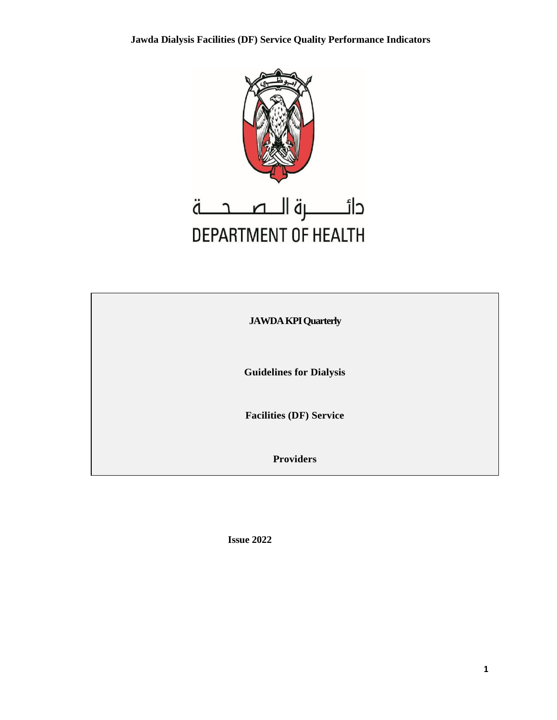

# **JAWDA KPI Quarterly**

**Guidelines for Dialysis** 

**Facilities (DF) Service** 

**Providers**

**Issue 2022**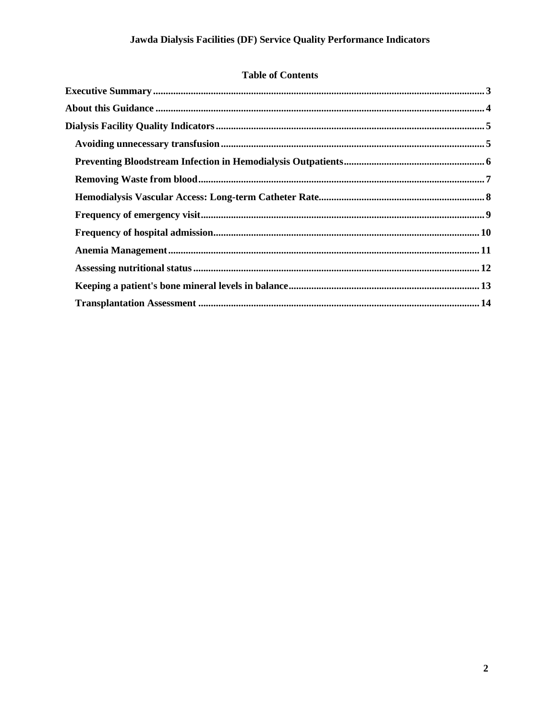#### **Table of Contents**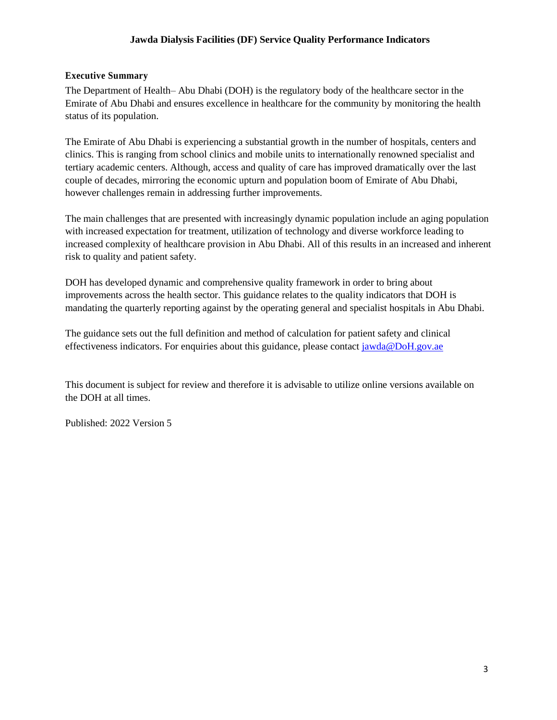#### **Jawda Dialysis Facilities (DF) Service Quality Performance Indicators**

#### **Executive Summary**

The Department of Health– Abu Dhabi (DOH) is the regulatory body of the healthcare sector in the Emirate of Abu Dhabi and ensures excellence in healthcare for the community by monitoring the health status of its population.

The Emirate of Abu Dhabi is experiencing a substantial growth in the number of hospitals, centers and clinics. This is ranging from school clinics and mobile units to internationally renowned specialist and tertiary academic centers. Although, access and quality of care has improved dramatically over the last couple of decades, mirroring the economic upturn and population boom of Emirate of Abu Dhabi, however challenges remain in addressing further improvements.

The main challenges that are presented with increasingly dynamic population include an aging population with increased expectation for treatment, utilization of technology and diverse workforce leading to increased complexity of healthcare provision in Abu Dhabi. All of this results in an increased and inherent risk to quality and patient safety.

DOH has developed dynamic and comprehensive quality framework in order to bring about improvements across the health sector. This guidance relates to the quality indicators that DOH is mandating the quarterly reporting against by the operating general and specialist hospitals in Abu Dhabi.

The guidance sets out the full definition and method of calculation for patient safety and clinical effectiveness indicators. For enquiries about this guidance, please contac[t jawda@DoH.gov.ae](mailto:jawda@DoH.gov.ae)

This document is subject for review and therefore it is advisable to utilize online versions available on the DOH at all times.

Published: 2022 Version 5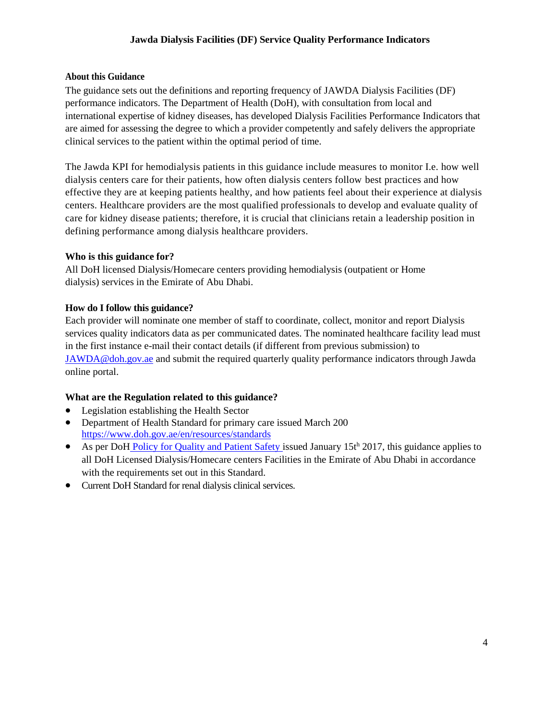#### **Jawda Dialysis Facilities (DF) Service Quality Performance Indicators**

#### **About this Guidance**

The guidance sets out the definitions and reporting frequency of JAWDA Dialysis Facilities (DF) performance indicators. The Department of Health (DoH), with consultation from local and international expertise of kidney diseases, has developed Dialysis Facilities Performance Indicators that are aimed for assessing the degree to which a provider competently and safely delivers the appropriate clinical services to the patient within the optimal period of time.

The Jawda KPI for hemodialysis patients in this guidance include measures to monitor I.e. how well dialysis centers care for their patients, how often dialysis centers follow best practices and how effective they are at keeping patients healthy, and how patients feel about their experience at dialysis centers. Healthcare providers are the most qualified professionals to develop and evaluate quality of care for kidney disease patients; therefore, it is crucial that clinicians retain a leadership position in defining performance among dialysis healthcare providers.

#### **Who is this guidance for?**

All DoH licensed Dialysis/Homecare centers providing hemodialysis (outpatient or Home dialysis) services in the Emirate of Abu Dhabi.

#### **How do I follow this guidance?**

Each provider will nominate one member of staff to coordinate, collect, monitor and report Dialysis services quality indicators data as per communicated dates. The nominated healthcare facility lead must in the first instance e-mail their contact details (if different from previous submission) t[o](mailto:JAWDA@doh.gov.ae/) [JAWDA@doh.gov.ae](mailto:JAWDA@doh.gov.ae/) and submit the required quarterly quality performance indicators through Jawda online portal.

#### **What are the Regulation related to this guidance?**

- Legislation establishing the Health Sector
- Department of Health Standard for primary care issued March 200 <https://www.doh.gov.ae/en/resources/standards>
- As per DoH [Policy for Quality and Patient Safety](https://www.haad.ae/HAAD/LinkClick.aspx?fileticket=Jrh93s-AyUA%3d&tabid=1276) [i](https://www.haad.ae/HAAD/LinkClick.aspx?fileticket=Jrh93s-AyUA%3d&tabid=1276)ssued January 15th 2017, this guidance applies to all DoH Licensed Dialysis/Homecare centers Facilities in the Emirate of Abu Dhabi in accordance with the requirements set out in this Standard.
- Current DoH Standard for renal dialysis clinical services.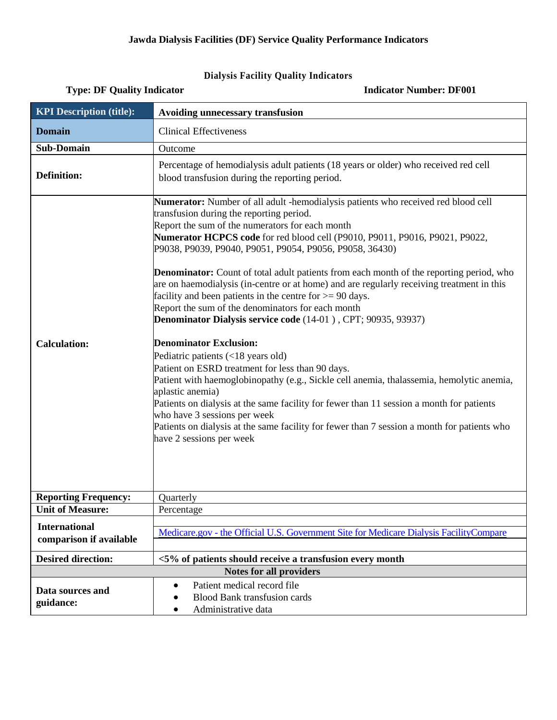## **Dialysis Facility Quality Indicators**

| <b>KPI Description (title):</b>                 | Avoiding unnecessary transfusion                                                                                                                                                                                                                                                                                                                                                                                                                                                                                                                                                                                                                                                                                                                                                                                                                                                                                                                                                                                                                                                                                                                                                                         |
|-------------------------------------------------|----------------------------------------------------------------------------------------------------------------------------------------------------------------------------------------------------------------------------------------------------------------------------------------------------------------------------------------------------------------------------------------------------------------------------------------------------------------------------------------------------------------------------------------------------------------------------------------------------------------------------------------------------------------------------------------------------------------------------------------------------------------------------------------------------------------------------------------------------------------------------------------------------------------------------------------------------------------------------------------------------------------------------------------------------------------------------------------------------------------------------------------------------------------------------------------------------------|
| <b>Domain</b>                                   | <b>Clinical Effectiveness</b>                                                                                                                                                                                                                                                                                                                                                                                                                                                                                                                                                                                                                                                                                                                                                                                                                                                                                                                                                                                                                                                                                                                                                                            |
| <b>Sub-Domain</b>                               | Outcome                                                                                                                                                                                                                                                                                                                                                                                                                                                                                                                                                                                                                                                                                                                                                                                                                                                                                                                                                                                                                                                                                                                                                                                                  |
| <b>Definition:</b>                              | Percentage of hemodialysis adult patients (18 years or older) who received red cell<br>blood transfusion during the reporting period.                                                                                                                                                                                                                                                                                                                                                                                                                                                                                                                                                                                                                                                                                                                                                                                                                                                                                                                                                                                                                                                                    |
| <b>Calculation:</b>                             | Numerator: Number of all adult -hemodialysis patients who received red blood cell<br>transfusion during the reporting period.<br>Report the sum of the numerators for each month<br>Numerator HCPCS code for red blood cell (P9010, P9011, P9016, P9021, P9022,<br>P9038, P9039, P9040, P9051, P9054, P9056, P9058, 36430)<br>Denominator: Count of total adult patients from each month of the reporting period, who<br>are on haemodialysis (in-centre or at home) and are regularly receiving treatment in this<br>facility and been patients in the centre for $>= 90$ days.<br>Report the sum of the denominators for each month<br>Denominator Dialysis service code (14-01), CPT; 90935, 93937)<br><b>Denominator Exclusion:</b><br>Pediatric patients (<18 years old)<br>Patient on ESRD treatment for less than 90 days.<br>Patient with haemoglobinopathy (e.g., Sickle cell anemia, thalassemia, hemolytic anemia,<br>aplastic anemia)<br>Patients on dialysis at the same facility for fewer than 11 session a month for patients<br>who have 3 sessions per week<br>Patients on dialysis at the same facility for fewer than 7 session a month for patients who<br>have 2 sessions per week |
| <b>Reporting Frequency:</b>                     | Quarterly                                                                                                                                                                                                                                                                                                                                                                                                                                                                                                                                                                                                                                                                                                                                                                                                                                                                                                                                                                                                                                                                                                                                                                                                |
| <b>Unit of Measure:</b>                         | Percentage                                                                                                                                                                                                                                                                                                                                                                                                                                                                                                                                                                                                                                                                                                                                                                                                                                                                                                                                                                                                                                                                                                                                                                                               |
| <b>International</b><br>comparison if available | Medicare.gov - the Official U.S. Government Site for Medicare Dialysis FacilityCompare                                                                                                                                                                                                                                                                                                                                                                                                                                                                                                                                                                                                                                                                                                                                                                                                                                                                                                                                                                                                                                                                                                                   |
| <b>Desired direction:</b>                       | <5% of patients should receive a transfusion every month                                                                                                                                                                                                                                                                                                                                                                                                                                                                                                                                                                                                                                                                                                                                                                                                                                                                                                                                                                                                                                                                                                                                                 |
|                                                 | <b>Notes for all providers</b>                                                                                                                                                                                                                                                                                                                                                                                                                                                                                                                                                                                                                                                                                                                                                                                                                                                                                                                                                                                                                                                                                                                                                                           |
| Data sources and<br>guidance:                   | Patient medical record file<br>$\bullet$<br><b>Blood Bank transfusion cards</b><br>Administrative data                                                                                                                                                                                                                                                                                                                                                                                                                                                                                                                                                                                                                                                                                                                                                                                                                                                                                                                                                                                                                                                                                                   |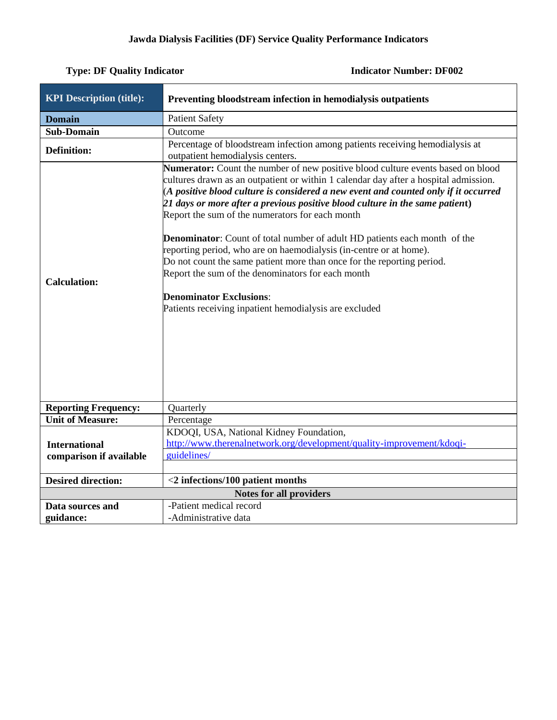| <b>KPI Description (title):</b>                 | Preventing bloodstream infection in hemodialysis outpatients                                                                                                                                                                                                                                                                                                                                                                                                                                                                                                                                                                                                                                                                                                                           |
|-------------------------------------------------|----------------------------------------------------------------------------------------------------------------------------------------------------------------------------------------------------------------------------------------------------------------------------------------------------------------------------------------------------------------------------------------------------------------------------------------------------------------------------------------------------------------------------------------------------------------------------------------------------------------------------------------------------------------------------------------------------------------------------------------------------------------------------------------|
| <b>Domain</b>                                   | <b>Patient Safety</b>                                                                                                                                                                                                                                                                                                                                                                                                                                                                                                                                                                                                                                                                                                                                                                  |
| <b>Sub-Domain</b>                               | Outcome                                                                                                                                                                                                                                                                                                                                                                                                                                                                                                                                                                                                                                                                                                                                                                                |
| <b>Definition:</b>                              | Percentage of bloodstream infection among patients receiving hemodialysis at<br>outpatient hemodialysis centers.                                                                                                                                                                                                                                                                                                                                                                                                                                                                                                                                                                                                                                                                       |
| <b>Calculation:</b>                             | Numerator: Count the number of new positive blood culture events based on blood<br>cultures drawn as an outpatient or within 1 calendar day after a hospital admission.<br>(A positive blood culture is considered a new event and counted only if it occurred<br>21 days or more after a previous positive blood culture in the same patient)<br>Report the sum of the numerators for each month<br><b>Denominator:</b> Count of total number of adult HD patients each month of the<br>reporting period, who are on haemodialysis (in-centre or at home).<br>Do not count the same patient more than once for the reporting period.<br>Report the sum of the denominators for each month<br><b>Denominator Exclusions:</b><br>Patients receiving inpatient hemodialysis are excluded |
| <b>Reporting Frequency:</b>                     | Quarterly                                                                                                                                                                                                                                                                                                                                                                                                                                                                                                                                                                                                                                                                                                                                                                              |
| <b>Unit of Measure:</b>                         | Percentage                                                                                                                                                                                                                                                                                                                                                                                                                                                                                                                                                                                                                                                                                                                                                                             |
| <b>International</b><br>comparison if available | KDOQI, USA, National Kidney Foundation,<br>http://www.therenalnetwork.org/development/quality-improvement/kdoqi-<br>guidelines/                                                                                                                                                                                                                                                                                                                                                                                                                                                                                                                                                                                                                                                        |
| <b>Desired direction:</b>                       | $<$ 2 infections/100 patient months                                                                                                                                                                                                                                                                                                                                                                                                                                                                                                                                                                                                                                                                                                                                                    |
|                                                 | <b>Notes for all providers</b>                                                                                                                                                                                                                                                                                                                                                                                                                                                                                                                                                                                                                                                                                                                                                         |
| Data sources and<br>guidance:                   | -Patient medical record<br>-Administrative data                                                                                                                                                                                                                                                                                                                                                                                                                                                                                                                                                                                                                                                                                                                                        |
|                                                 |                                                                                                                                                                                                                                                                                                                                                                                                                                                                                                                                                                                                                                                                                                                                                                                        |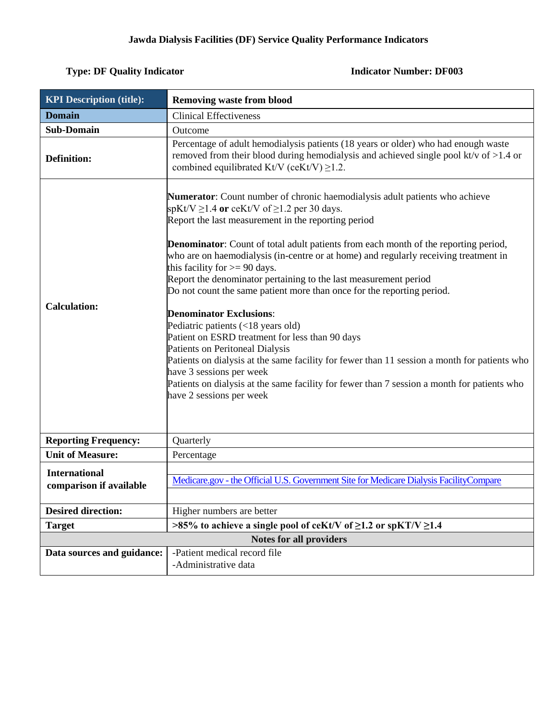| <b>KPI Description (title):</b>                 | <b>Removing waste from blood</b>                                                                                                                                                                                                                                                                                                                                                                                                                                                                                                                                                                                                                                                                                                                                                                                                                                                                                                                                                         |
|-------------------------------------------------|------------------------------------------------------------------------------------------------------------------------------------------------------------------------------------------------------------------------------------------------------------------------------------------------------------------------------------------------------------------------------------------------------------------------------------------------------------------------------------------------------------------------------------------------------------------------------------------------------------------------------------------------------------------------------------------------------------------------------------------------------------------------------------------------------------------------------------------------------------------------------------------------------------------------------------------------------------------------------------------|
| <b>Domain</b>                                   | <b>Clinical Effectiveness</b>                                                                                                                                                                                                                                                                                                                                                                                                                                                                                                                                                                                                                                                                                                                                                                                                                                                                                                                                                            |
| <b>Sub-Domain</b>                               | Outcome                                                                                                                                                                                                                                                                                                                                                                                                                                                                                                                                                                                                                                                                                                                                                                                                                                                                                                                                                                                  |
| <b>Definition:</b>                              | Percentage of adult hemodialysis patients (18 years or older) who had enough waste<br>removed from their blood during hemodialysis and achieved single pool kt/v of $>1.4$ or<br>combined equilibrated Kt/V (ceKt/V) $\geq$ 1.2.                                                                                                                                                                                                                                                                                                                                                                                                                                                                                                                                                                                                                                                                                                                                                         |
| <b>Calculation:</b>                             | Numerator: Count number of chronic haemodialysis adult patients who achieve<br>spKt/V $\geq$ 1.4 or ceKt/V of $\geq$ 1.2 per 30 days.<br>Report the last measurement in the reporting period<br><b>Denominator:</b> Count of total adult patients from each month of the reporting period,<br>who are on haemodialysis (in-centre or at home) and regularly receiving treatment in<br>this facility for $>= 90$ days.<br>Report the denominator pertaining to the last measurement period<br>Do not count the same patient more than once for the reporting period.<br><b>Denominator Exclusions:</b><br>Pediatric patients (<18 years old)<br>Patient on ESRD treatment for less than 90 days<br>Patients on Peritoneal Dialysis<br>Patients on dialysis at the same facility for fewer than 11 session a month for patients who<br>have 3 sessions per week<br>Patients on dialysis at the same facility for fewer than 7 session a month for patients who<br>have 2 sessions per week |
| <b>Reporting Frequency:</b>                     | Quarterly                                                                                                                                                                                                                                                                                                                                                                                                                                                                                                                                                                                                                                                                                                                                                                                                                                                                                                                                                                                |
| <b>Unit of Measure:</b>                         | Percentage                                                                                                                                                                                                                                                                                                                                                                                                                                                                                                                                                                                                                                                                                                                                                                                                                                                                                                                                                                               |
| <b>International</b><br>comparison if available | Medicare.gov - the Official U.S. Government Site for Medicare Dialysis FacilityCompare                                                                                                                                                                                                                                                                                                                                                                                                                                                                                                                                                                                                                                                                                                                                                                                                                                                                                                   |
| <b>Desired direction:</b>                       | Higher numbers are better                                                                                                                                                                                                                                                                                                                                                                                                                                                                                                                                                                                                                                                                                                                                                                                                                                                                                                                                                                |
| <b>Target</b>                                   | >85% to achieve a single pool of ceKt/V of $\geq$ 1.2 or spKT/V $\geq$ 1.4                                                                                                                                                                                                                                                                                                                                                                                                                                                                                                                                                                                                                                                                                                                                                                                                                                                                                                               |
|                                                 | <b>Notes for all providers</b>                                                                                                                                                                                                                                                                                                                                                                                                                                                                                                                                                                                                                                                                                                                                                                                                                                                                                                                                                           |
| Data sources and guidance:                      | -Patient medical record file<br>-Administrative data                                                                                                                                                                                                                                                                                                                                                                                                                                                                                                                                                                                                                                                                                                                                                                                                                                                                                                                                     |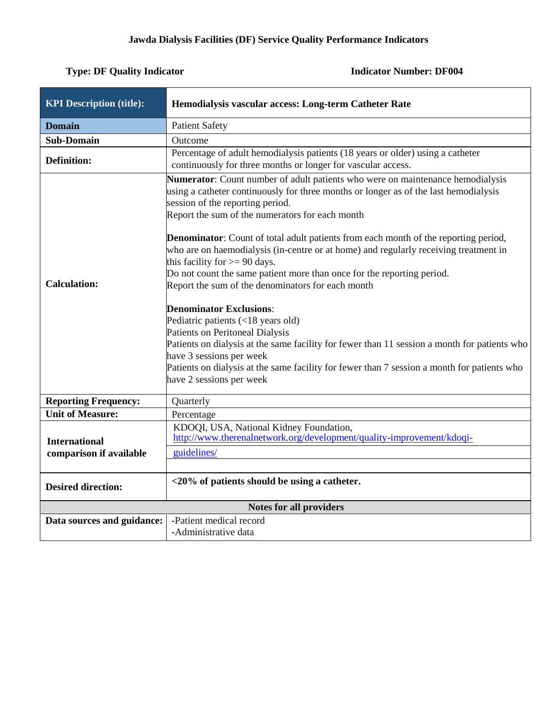| <b>KPI Description (title):</b>                 | Hemodialysis vascular access: Long-term Catheter Rate                                                                                                                                                                                                                                                                                                                                                                                                                                                                                                                                                                                                                                                                                                                                                                                                                                                                                                                                     |
|-------------------------------------------------|-------------------------------------------------------------------------------------------------------------------------------------------------------------------------------------------------------------------------------------------------------------------------------------------------------------------------------------------------------------------------------------------------------------------------------------------------------------------------------------------------------------------------------------------------------------------------------------------------------------------------------------------------------------------------------------------------------------------------------------------------------------------------------------------------------------------------------------------------------------------------------------------------------------------------------------------------------------------------------------------|
| <b>Domain</b>                                   | <b>Patient Safety</b>                                                                                                                                                                                                                                                                                                                                                                                                                                                                                                                                                                                                                                                                                                                                                                                                                                                                                                                                                                     |
| <b>Sub-Domain</b>                               | Outcome                                                                                                                                                                                                                                                                                                                                                                                                                                                                                                                                                                                                                                                                                                                                                                                                                                                                                                                                                                                   |
| <b>Definition:</b>                              | Percentage of adult hemodialysis patients (18 years or older) using a catheter<br>continuously for three months or longer for vascular access.                                                                                                                                                                                                                                                                                                                                                                                                                                                                                                                                                                                                                                                                                                                                                                                                                                            |
| <b>Calculation:</b>                             | Numerator: Count number of adult patients who were on maintenance hemodialysis<br>using a catheter continuously for three months or longer as of the last hemodialysis<br>session of the reporting period.<br>Report the sum of the numerators for each month<br><b>Denominator:</b> Count of total adult patients from each month of the reporting period,<br>who are on haemodialysis (in-centre or at home) and regularly receiving treatment in<br>this facility for $\geq$ 90 days.<br>Do not count the same patient more than once for the reporting period.<br>Report the sum of the denominators for each month<br><b>Denominator Exclusions:</b><br>Pediatric patients (<18 years old)<br>Patients on Peritoneal Dialysis<br>Patients on dialysis at the same facility for fewer than 11 session a month for patients who<br>have 3 sessions per week<br>Patients on dialysis at the same facility for fewer than 7 session a month for patients who<br>have 2 sessions per week |
| <b>Reporting Frequency:</b>                     | Quarterly                                                                                                                                                                                                                                                                                                                                                                                                                                                                                                                                                                                                                                                                                                                                                                                                                                                                                                                                                                                 |
| <b>Unit of Measure:</b>                         | Percentage                                                                                                                                                                                                                                                                                                                                                                                                                                                                                                                                                                                                                                                                                                                                                                                                                                                                                                                                                                                |
| <b>International</b><br>comparison if available | KDOQI, USA, National Kidney Foundation,<br>http://www.therenalnetwork.org/development/quality-improvement/kdoqi-<br>guidelines/                                                                                                                                                                                                                                                                                                                                                                                                                                                                                                                                                                                                                                                                                                                                                                                                                                                           |
| <b>Desired direction:</b>                       | $\langle 20\%$ of patients should be using a catheter.                                                                                                                                                                                                                                                                                                                                                                                                                                                                                                                                                                                                                                                                                                                                                                                                                                                                                                                                    |
|                                                 | Notes for all providers                                                                                                                                                                                                                                                                                                                                                                                                                                                                                                                                                                                                                                                                                                                                                                                                                                                                                                                                                                   |
| Data sources and guidance:                      | -Patient medical record                                                                                                                                                                                                                                                                                                                                                                                                                                                                                                                                                                                                                                                                                                                                                                                                                                                                                                                                                                   |
|                                                 | -Administrative data                                                                                                                                                                                                                                                                                                                                                                                                                                                                                                                                                                                                                                                                                                                                                                                                                                                                                                                                                                      |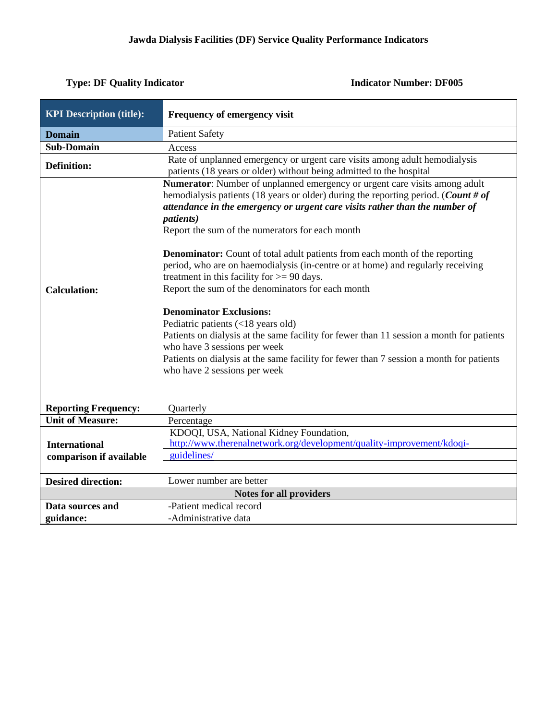| <b>KPI Description (title):</b>                        | Frequency of emergency visit                                                                                                                                                                                                                                                                                                                                                                                                                                                                                                                                                                                                                                                                                                                                                                                                                                                                                                         |
|--------------------------------------------------------|--------------------------------------------------------------------------------------------------------------------------------------------------------------------------------------------------------------------------------------------------------------------------------------------------------------------------------------------------------------------------------------------------------------------------------------------------------------------------------------------------------------------------------------------------------------------------------------------------------------------------------------------------------------------------------------------------------------------------------------------------------------------------------------------------------------------------------------------------------------------------------------------------------------------------------------|
| <b>Domain</b>                                          | <b>Patient Safety</b>                                                                                                                                                                                                                                                                                                                                                                                                                                                                                                                                                                                                                                                                                                                                                                                                                                                                                                                |
| <b>Sub-Domain</b>                                      | Access                                                                                                                                                                                                                                                                                                                                                                                                                                                                                                                                                                                                                                                                                                                                                                                                                                                                                                                               |
| <b>Definition:</b>                                     | Rate of unplanned emergency or urgent care visits among adult hemodialysis<br>patients (18 years or older) without being admitted to the hospital                                                                                                                                                                                                                                                                                                                                                                                                                                                                                                                                                                                                                                                                                                                                                                                    |
| <b>Calculation:</b>                                    | Numerator: Number of unplanned emergency or urgent care visits among adult<br>hemodialysis patients (18 years or older) during the reporting period. (Count # of<br>attendance in the emergency or urgent care visits rather than the number of<br><i>patients</i> )<br>Report the sum of the numerators for each month<br><b>Denominator:</b> Count of total adult patients from each month of the reporting<br>period, who are on haemodialysis (in-centre or at home) and regularly receiving<br>treatment in this facility for $>= 90$ days.<br>Report the sum of the denominators for each month<br><b>Denominator Exclusions:</b><br>Pediatric patients (<18 years old)<br>Patients on dialysis at the same facility for fewer than 11 session a month for patients<br>who have 3 sessions per week<br>Patients on dialysis at the same facility for fewer than 7 session a month for patients<br>who have 2 sessions per week |
| <b>Reporting Frequency:</b><br><b>Unit of Measure:</b> | Quarterly<br>Percentage                                                                                                                                                                                                                                                                                                                                                                                                                                                                                                                                                                                                                                                                                                                                                                                                                                                                                                              |
| <b>International</b><br>comparison if available        | KDOQI, USA, National Kidney Foundation,<br>http://www.therenalnetwork.org/development/quality-improvement/kdoqi-<br>guidelines/                                                                                                                                                                                                                                                                                                                                                                                                                                                                                                                                                                                                                                                                                                                                                                                                      |
| <b>Desired direction:</b>                              | Lower number are better                                                                                                                                                                                                                                                                                                                                                                                                                                                                                                                                                                                                                                                                                                                                                                                                                                                                                                              |
|                                                        | <b>Notes for all providers</b>                                                                                                                                                                                                                                                                                                                                                                                                                                                                                                                                                                                                                                                                                                                                                                                                                                                                                                       |
| Data sources and                                       | -Patient medical record                                                                                                                                                                                                                                                                                                                                                                                                                                                                                                                                                                                                                                                                                                                                                                                                                                                                                                              |
| guidance:                                              | -Administrative data                                                                                                                                                                                                                                                                                                                                                                                                                                                                                                                                                                                                                                                                                                                                                                                                                                                                                                                 |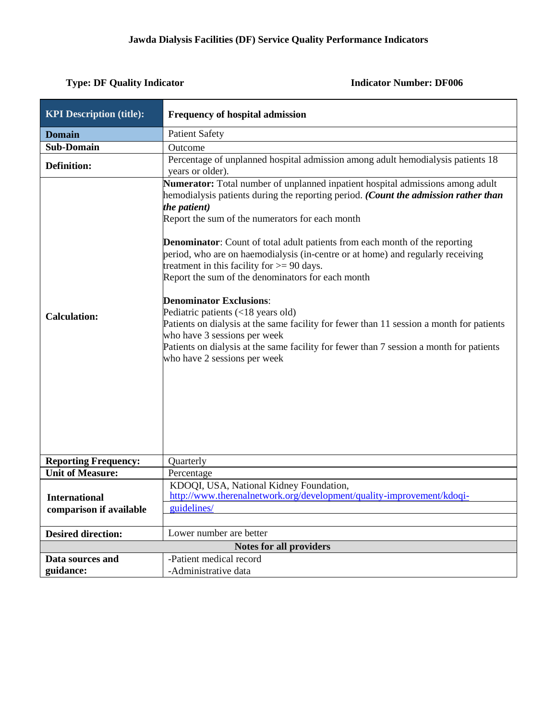| <b>KPI Description (title):</b>                 | <b>Frequency of hospital admission</b>                                                                                                                                                                                                                                                                                                                                                                                                                                                                                                                                                                                                                                                                                                                                                                                                                |
|-------------------------------------------------|-------------------------------------------------------------------------------------------------------------------------------------------------------------------------------------------------------------------------------------------------------------------------------------------------------------------------------------------------------------------------------------------------------------------------------------------------------------------------------------------------------------------------------------------------------------------------------------------------------------------------------------------------------------------------------------------------------------------------------------------------------------------------------------------------------------------------------------------------------|
| <b>Domain</b>                                   | <b>Patient Safety</b>                                                                                                                                                                                                                                                                                                                                                                                                                                                                                                                                                                                                                                                                                                                                                                                                                                 |
| <b>Sub-Domain</b>                               | Outcome                                                                                                                                                                                                                                                                                                                                                                                                                                                                                                                                                                                                                                                                                                                                                                                                                                               |
| <b>Definition:</b>                              | Percentage of unplanned hospital admission among adult hemodialysis patients 18<br>years or older).                                                                                                                                                                                                                                                                                                                                                                                                                                                                                                                                                                                                                                                                                                                                                   |
| <b>Calculation:</b>                             | Numerator: Total number of unplanned inpatient hospital admissions among adult<br>hemodialysis patients during the reporting period. (Count the admission rather than<br>the patient)<br>Report the sum of the numerators for each month<br><b>Denominator:</b> Count of total adult patients from each month of the reporting<br>period, who are on haemodialysis (in-centre or at home) and regularly receiving<br>treatment in this facility for $>= 90$ days.<br>Report the sum of the denominators for each month<br><b>Denominator Exclusions:</b><br>Pediatric patients (<18 years old)<br>Patients on dialysis at the same facility for fewer than 11 session a month for patients<br>who have 3 sessions per week<br>Patients on dialysis at the same facility for fewer than 7 session a month for patients<br>who have 2 sessions per week |
| <b>Reporting Frequency:</b>                     | Quarterly                                                                                                                                                                                                                                                                                                                                                                                                                                                                                                                                                                                                                                                                                                                                                                                                                                             |
| <b>Unit of Measure:</b>                         | Percentage                                                                                                                                                                                                                                                                                                                                                                                                                                                                                                                                                                                                                                                                                                                                                                                                                                            |
| <b>International</b><br>comparison if available | KDOQI, USA, National Kidney Foundation,<br>http://www.therenalnetwork.org/development/quality-improvement/kdoqi-<br>guidelines/                                                                                                                                                                                                                                                                                                                                                                                                                                                                                                                                                                                                                                                                                                                       |
| <b>Desired direction:</b>                       | Lower number are better                                                                                                                                                                                                                                                                                                                                                                                                                                                                                                                                                                                                                                                                                                                                                                                                                               |
|                                                 | <b>Notes for all providers</b>                                                                                                                                                                                                                                                                                                                                                                                                                                                                                                                                                                                                                                                                                                                                                                                                                        |
| Data sources and                                | -Patient medical record                                                                                                                                                                                                                                                                                                                                                                                                                                                                                                                                                                                                                                                                                                                                                                                                                               |
| guidance:                                       | -Administrative data                                                                                                                                                                                                                                                                                                                                                                                                                                                                                                                                                                                                                                                                                                                                                                                                                                  |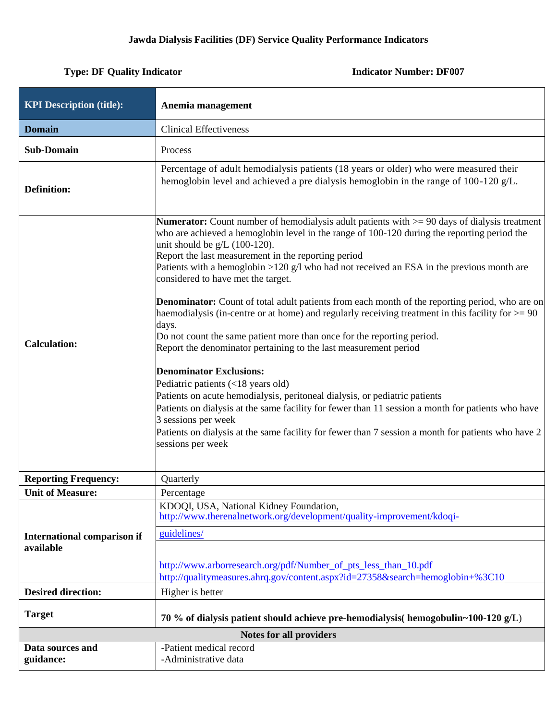| <b>KPI Description (title):</b>                 | Anemia management                                                                                                                                                                                                                                                                                                                                                                                                                                                                                                                                                                                                                                                                                                                                                                                                                                                                                                                                                                                                                                                                                                                                                                                                             |
|-------------------------------------------------|-------------------------------------------------------------------------------------------------------------------------------------------------------------------------------------------------------------------------------------------------------------------------------------------------------------------------------------------------------------------------------------------------------------------------------------------------------------------------------------------------------------------------------------------------------------------------------------------------------------------------------------------------------------------------------------------------------------------------------------------------------------------------------------------------------------------------------------------------------------------------------------------------------------------------------------------------------------------------------------------------------------------------------------------------------------------------------------------------------------------------------------------------------------------------------------------------------------------------------|
| <b>Domain</b>                                   | <b>Clinical Effectiveness</b>                                                                                                                                                                                                                                                                                                                                                                                                                                                                                                                                                                                                                                                                                                                                                                                                                                                                                                                                                                                                                                                                                                                                                                                                 |
| <b>Sub-Domain</b>                               | Process                                                                                                                                                                                                                                                                                                                                                                                                                                                                                                                                                                                                                                                                                                                                                                                                                                                                                                                                                                                                                                                                                                                                                                                                                       |
| <b>Definition:</b>                              | Percentage of adult hemodialysis patients (18 years or older) who were measured their<br>hemoglobin level and achieved a pre dialysis hemoglobin in the range of $100-120$ g/L.                                                                                                                                                                                                                                                                                                                                                                                                                                                                                                                                                                                                                                                                                                                                                                                                                                                                                                                                                                                                                                               |
| <b>Calculation:</b>                             | <b>Numerator:</b> Count number of hemodialysis adult patients with $\geq$ 90 days of dialysis treatment<br>who are achieved a hemoglobin level in the range of 100-120 during the reporting period the<br>unit should be $g/L$ (100-120).<br>Report the last measurement in the reporting period<br>Patients with a hemoglobin $>120$ g/l who had not received an ESA in the previous month are<br>considered to have met the target.<br><b>Denominator:</b> Count of total adult patients from each month of the reporting period, who are on<br>haemodialysis (in-centre or at home) and regularly receiving treatment in this facility for $\geq$ = 90<br>days.<br>Do not count the same patient more than once for the reporting period.<br>Report the denominator pertaining to the last measurement period<br><b>Denominator Exclusions:</b><br>Pediatric patients (<18 years old)<br>Patients on acute hemodialysis, peritoneal dialysis, or pediatric patients<br>Patients on dialysis at the same facility for fewer than 11 session a month for patients who have<br>3 sessions per week<br>Patients on dialysis at the same facility for fewer than 7 session a month for patients who have 2<br>sessions per week |
| <b>Reporting Frequency:</b>                     | Quarterly                                                                                                                                                                                                                                                                                                                                                                                                                                                                                                                                                                                                                                                                                                                                                                                                                                                                                                                                                                                                                                                                                                                                                                                                                     |
| <b>Unit of Measure:</b>                         | Percentage                                                                                                                                                                                                                                                                                                                                                                                                                                                                                                                                                                                                                                                                                                                                                                                                                                                                                                                                                                                                                                                                                                                                                                                                                    |
|                                                 | KDOQI, USA, National Kidney Foundation,<br>http://www.therenalnetwork.org/development/quality-improvement/kdoqi-                                                                                                                                                                                                                                                                                                                                                                                                                                                                                                                                                                                                                                                                                                                                                                                                                                                                                                                                                                                                                                                                                                              |
| <b>International comparison if</b><br>available | guidelines/<br>http://www.arborresearch.org/pdf/Number_of_pts_less_than_10.pdf                                                                                                                                                                                                                                                                                                                                                                                                                                                                                                                                                                                                                                                                                                                                                                                                                                                                                                                                                                                                                                                                                                                                                |
|                                                 | http://qualitymeasures.ahrq.gov/content.aspx?id=27358&search=hemoglobin+%3C10                                                                                                                                                                                                                                                                                                                                                                                                                                                                                                                                                                                                                                                                                                                                                                                                                                                                                                                                                                                                                                                                                                                                                 |
| <b>Desired direction:</b>                       | Higher is better                                                                                                                                                                                                                                                                                                                                                                                                                                                                                                                                                                                                                                                                                                                                                                                                                                                                                                                                                                                                                                                                                                                                                                                                              |
| <b>Target</b>                                   | 70 % of dialysis patient should achieve pre-hemodialysis (hemogobulin~100-120 $g/L$ )                                                                                                                                                                                                                                                                                                                                                                                                                                                                                                                                                                                                                                                                                                                                                                                                                                                                                                                                                                                                                                                                                                                                         |
|                                                 | <b>Notes for all providers</b>                                                                                                                                                                                                                                                                                                                                                                                                                                                                                                                                                                                                                                                                                                                                                                                                                                                                                                                                                                                                                                                                                                                                                                                                |
| Data sources and<br>guidance:                   | -Patient medical record<br>-Administrative data                                                                                                                                                                                                                                                                                                                                                                                                                                                                                                                                                                                                                                                                                                                                                                                                                                                                                                                                                                                                                                                                                                                                                                               |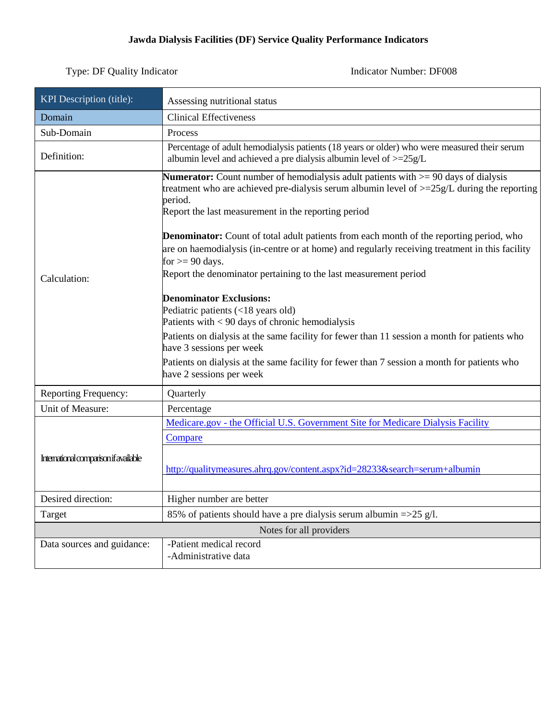## **Jawda Dialysis Facilities (DF) Service Quality Performance Indicators**

| KPI Description (title):              | Assessing nutritional status                                                                                                                                                                                                                                                                                                                                                                                                                                                                                                                                                                                                                                                                                                                                                                                                                                                                                                                     |
|---------------------------------------|--------------------------------------------------------------------------------------------------------------------------------------------------------------------------------------------------------------------------------------------------------------------------------------------------------------------------------------------------------------------------------------------------------------------------------------------------------------------------------------------------------------------------------------------------------------------------------------------------------------------------------------------------------------------------------------------------------------------------------------------------------------------------------------------------------------------------------------------------------------------------------------------------------------------------------------------------|
| Domain                                | <b>Clinical Effectiveness</b>                                                                                                                                                                                                                                                                                                                                                                                                                                                                                                                                                                                                                                                                                                                                                                                                                                                                                                                    |
| Sub-Domain                            | Process                                                                                                                                                                                                                                                                                                                                                                                                                                                                                                                                                                                                                                                                                                                                                                                                                                                                                                                                          |
| Definition:                           | Percentage of adult hemodialysis patients (18 years or older) who were measured their serum<br>albumin level and achieved a pre dialysis albumin level of $>=25g/L$                                                                                                                                                                                                                                                                                                                                                                                                                                                                                                                                                                                                                                                                                                                                                                              |
| Calculation:                          | <b>Numerator:</b> Count number of hemodialysis adult patients with $> = 90$ days of dialysis<br>treatment who are achieved pre-dialysis serum albumin level of $>=25g/L$ during the reporting<br>period.<br>Report the last measurement in the reporting period<br><b>Denominator:</b> Count of total adult patients from each month of the reporting period, who<br>are on haemodialysis (in-centre or at home) and regularly receiving treatment in this facility<br>for $>= 90$ days.<br>Report the denominator pertaining to the last measurement period<br><b>Denominator Exclusions:</b><br>Pediatric patients (<18 years old)<br>Patients with $< 90$ days of chronic hemodialysis<br>Patients on dialysis at the same facility for fewer than 11 session a month for patients who<br>have 3 sessions per week<br>Patients on dialysis at the same facility for fewer than 7 session a month for patients who<br>have 2 sessions per week |
| <b>Reporting Frequency:</b>           | Quarterly                                                                                                                                                                                                                                                                                                                                                                                                                                                                                                                                                                                                                                                                                                                                                                                                                                                                                                                                        |
| Unit of Measure:                      | Percentage                                                                                                                                                                                                                                                                                                                                                                                                                                                                                                                                                                                                                                                                                                                                                                                                                                                                                                                                       |
| International comparison if available | Medicare.gov - the Official U.S. Government Site for Medicare Dialysis Facility<br>Compare<br>http://qualitymeasures.ahrq.gov/content.aspx?id=28233&search=serum+albumin                                                                                                                                                                                                                                                                                                                                                                                                                                                                                                                                                                                                                                                                                                                                                                         |
| Desired direction:                    | Higher number are better                                                                                                                                                                                                                                                                                                                                                                                                                                                                                                                                                                                                                                                                                                                                                                                                                                                                                                                         |
| Target                                | 85% of patients should have a pre dialysis serum albumin $=$ >25 g/l.                                                                                                                                                                                                                                                                                                                                                                                                                                                                                                                                                                                                                                                                                                                                                                                                                                                                            |
|                                       | Notes for all providers                                                                                                                                                                                                                                                                                                                                                                                                                                                                                                                                                                                                                                                                                                                                                                                                                                                                                                                          |
| Data sources and guidance:            | -Patient medical record<br>-Administrative data                                                                                                                                                                                                                                                                                                                                                                                                                                                                                                                                                                                                                                                                                                                                                                                                                                                                                                  |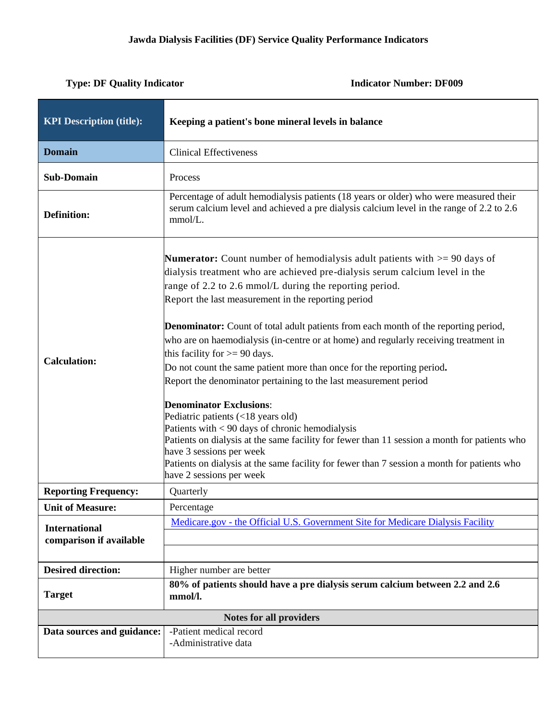| <b>KPI Description (title):</b>                 | Keeping a patient's bone mineral levels in balance                                                                                                                                                                                                                                                                                                                                                                                                                                                                                                                                                                                                                                                                                                                                                                                                                                                                                                                                                                                            |  |
|-------------------------------------------------|-----------------------------------------------------------------------------------------------------------------------------------------------------------------------------------------------------------------------------------------------------------------------------------------------------------------------------------------------------------------------------------------------------------------------------------------------------------------------------------------------------------------------------------------------------------------------------------------------------------------------------------------------------------------------------------------------------------------------------------------------------------------------------------------------------------------------------------------------------------------------------------------------------------------------------------------------------------------------------------------------------------------------------------------------|--|
| <b>Domain</b>                                   | <b>Clinical Effectiveness</b>                                                                                                                                                                                                                                                                                                                                                                                                                                                                                                                                                                                                                                                                                                                                                                                                                                                                                                                                                                                                                 |  |
| <b>Sub-Domain</b>                               | Process                                                                                                                                                                                                                                                                                                                                                                                                                                                                                                                                                                                                                                                                                                                                                                                                                                                                                                                                                                                                                                       |  |
| <b>Definition:</b>                              | Percentage of adult hemodialysis patients (18 years or older) who were measured their<br>serum calcium level and achieved a pre dialysis calcium level in the range of 2.2 to 2.6<br>mmol/L.                                                                                                                                                                                                                                                                                                                                                                                                                                                                                                                                                                                                                                                                                                                                                                                                                                                  |  |
| <b>Calculation:</b>                             | <b>Numerator:</b> Count number of hemodialysis adult patients with $> = 90$ days of<br>dialysis treatment who are achieved pre-dialysis serum calcium level in the<br>range of 2.2 to 2.6 mmol/L during the reporting period.<br>Report the last measurement in the reporting period<br><b>Denominator:</b> Count of total adult patients from each month of the reporting period,<br>who are on haemodialysis (in-centre or at home) and regularly receiving treatment in<br>this facility for $>= 90$ days.<br>Do not count the same patient more than once for the reporting period.<br>Report the denominator pertaining to the last measurement period<br><b>Denominator Exclusions:</b><br>Pediatric patients (<18 years old)<br>Patients with < 90 days of chronic hemodialysis<br>Patients on dialysis at the same facility for fewer than 11 session a month for patients who<br>have 3 sessions per week<br>Patients on dialysis at the same facility for fewer than 7 session a month for patients who<br>have 2 sessions per week |  |
| <b>Reporting Frequency:</b>                     | Quarterly                                                                                                                                                                                                                                                                                                                                                                                                                                                                                                                                                                                                                                                                                                                                                                                                                                                                                                                                                                                                                                     |  |
| <b>Unit of Measure:</b>                         | Percentage                                                                                                                                                                                                                                                                                                                                                                                                                                                                                                                                                                                                                                                                                                                                                                                                                                                                                                                                                                                                                                    |  |
| <b>International</b><br>comparison if available | Medicare.gov - the Official U.S. Government Site for Medicare Dialysis Facility                                                                                                                                                                                                                                                                                                                                                                                                                                                                                                                                                                                                                                                                                                                                                                                                                                                                                                                                                               |  |
| <b>Desired direction:</b>                       | Higher number are better                                                                                                                                                                                                                                                                                                                                                                                                                                                                                                                                                                                                                                                                                                                                                                                                                                                                                                                                                                                                                      |  |
| <b>Target</b>                                   | 80% of patients should have a pre dialysis serum calcium between 2.2 and 2.6<br>mmol/l.                                                                                                                                                                                                                                                                                                                                                                                                                                                                                                                                                                                                                                                                                                                                                                                                                                                                                                                                                       |  |
| <b>Notes for all providers</b>                  |                                                                                                                                                                                                                                                                                                                                                                                                                                                                                                                                                                                                                                                                                                                                                                                                                                                                                                                                                                                                                                               |  |
| Data sources and guidance:                      | -Patient medical record<br>-Administrative data                                                                                                                                                                                                                                                                                                                                                                                                                                                                                                                                                                                                                                                                                                                                                                                                                                                                                                                                                                                               |  |